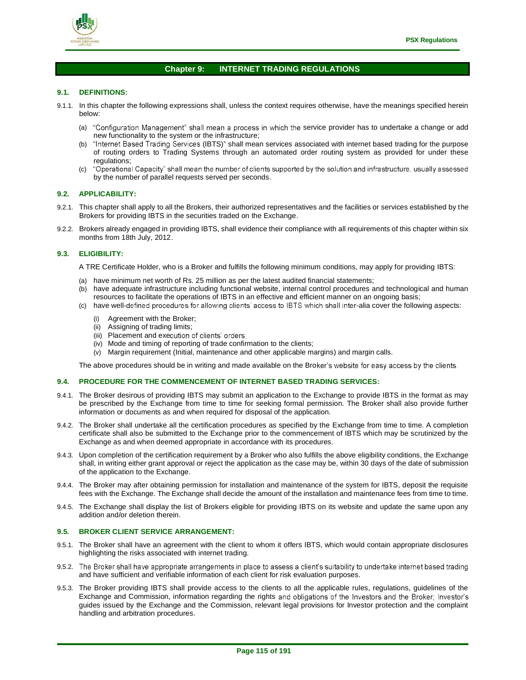

# **Chapter 9: INTERNET TRADING REGULATIONS**

## **9.1. DEFINITIONS:**

- 9.1.1. In this chapter the following expressions shall, unless the context requires otherwise, have the meanings specified herein below:
	- (a) "Configuration Management" shall mean a process in which the service provider has to undertake a change or add new functionality to the system or the infrastructure;
	- (b) "Internet Based Trading Services (IBTS)" shall mean services associated with internet based trading for the purpose of routing orders to Trading Systems through an automated order routing system as provided for under these
	- regulations;<br>"Operational Capacity" shall mean the number of clients supported by the solution and infrastructure, usually assessed  $(c)$ by the number of parallel requests served per seconds.

## **9.2. APPLICABILITY:**

- 9.2.1. This chapter shall apply to all the Brokers, their authorized representatives and the facilities or services established by the Brokers for providing IBTS in the securities traded on the Exchange.
- 9.2.2. Brokers already engaged in providing IBTS, shall evidence their compliance with all requirements of this chapter within six months from 18th July, 2012.

## **9.3. ELIGIBILITY:**

- A TRE Certificate Holder, who is a Broker and fulfills the following minimum conditions, may apply for providing IBTS:
- (a) have minimum net worth of Rs. 25 million as per the latest audited financial statements;
- (b) have adequate infrastructure including functional website, internal control procedures and technological and human resources to facilitate the operations of IBTS in an effective and efficient manner on an ongoing basis;
- (c) have well-defined procedures for allowing clients' access to IBTS which shall inter-alia cover the following aspects:
	- (i) Agreement with the Broker;
	- (ii) Assigning of trading limits;
	- (iii) Placement and execution of clients' orders;
	- (iv) Mode and timing of reporting of trade confirmation to the clients;
	- (v) Margin requirement (Initial, maintenance and other applicable margins) and margin calls.

The above procedures should be in writing and made available on the Broker's website for easy access by the clients.

## **9.4. PROCEDURE FOR THE COMMENCEMENT OF INTERNET BASED TRADING SERVICES:**

- 9.4.1. The Broker desirous of providing IBTS may submit an application to the Exchange to provide IBTS in the format as may be prescribed by the Exchange from time to time for seeking formal permission. The Broker shall also provide further information or documents as and when required for disposal of the application.
- 9.4.2. The Broker shall undertake all the certification procedures as specified by the Exchange from time to time. A completion certificate shall also be submitted to the Exchange prior to the commencement of IBTS which may be scrutinized by the Exchange as and when deemed appropriate in accordance with its procedures.
- 9.4.3. Upon completion of the certification requirement by a Broker who also fulfills the above eligibility conditions, the Exchange shall, in writing either grant approval or reject the application as the case may be, within 30 days of the date of submission of the application to the Exchange.
- 9.4.4. The Broker may after obtaining permission for installation and maintenance of the system for IBTS, deposit the requisite fees with the Exchange. The Exchange shall decide the amount of the installation and maintenance fees from time to time.
- 9.4.5. The Exchange shall display the list of Brokers eligible for providing IBTS on its website and update the same upon any addition and/or deletion therein.

## **9.5. BROKER CLIENT SERVICE ARRANGEMENT:**

- 9.5.1. The Broker shall have an agreement with the client to whom it offers IBTS, which would contain appropriate disclosures highlighting the risks associated with internet trading.
- 9.5.2. The Broker shall have appropriate arrangements in place to assess a client's suitability to undertake internet based trading and have sufficient and verifiable information of each client for risk evaluation purposes.
- 9.5.3. The Broker providing IBTS shall provide access to the clients to all the applicable rules, regulations, guidelines of the Exchange and Commission, information regarding the rights and obligations of the Investors and the Broker; Investor's guides issued by the Exchange and the Commission, relevant legal provisions for Investor protection and the complaint handling and arbitration procedures.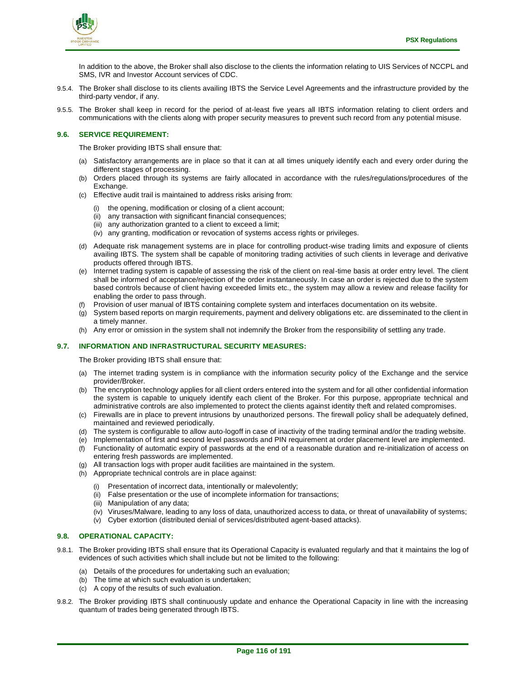

In addition to the above, the Broker shall also disclose to the clients the information relating to UIS Services of NCCPL and SMS, IVR and Investor Account services of CDC.

- 9.5.4. The Broker shall disclose to its clients availing IBTS the Service Level Agreements and the infrastructure provided by the third-party vendor, if any.
- 9.5.5. The Broker shall keep in record for the period of at-least five years all IBTS information relating to client orders and communications with the clients along with proper security measures to prevent such record from any potential misuse.

## **9.6. SERVICE REQUIREMENT:**

The Broker providing IBTS shall ensure that:

- (a) Satisfactory arrangements are in place so that it can at all times uniquely identify each and every order during the different stages of processing.
- (b) Orders placed through its systems are fairly allocated in accordance with the rules/regulations/procedures of the Exchange.
- (c) Effective audit trail is maintained to address risks arising from:
	- (i) the opening, modification or closing of a client account;
	- (ii) any transaction with significant financial consequences;
	- (iii) any authorization granted to a client to exceed a limit;
	- (iv) any granting, modification or revocation of systems access rights or privileges.
- (d) Adequate risk management systems are in place for controlling product-wise trading limits and exposure of clients availing IBTS. The system shall be capable of monitoring trading activities of such clients in leverage and derivative products offered through IBTS.
- (e) Internet trading system is capable of assessing the risk of the client on real-time basis at order entry level. The client shall be informed of acceptance/rejection of the order instantaneously. In case an order is rejected due to the system based controls because of client having exceeded limits etc., the system may allow a review and release facility for enabling the order to pass through.
- (f) Provision of user manual of IBTS containing complete system and interfaces documentation on its website.
- (g) System based reports on margin requirements, payment and delivery obligations etc. are disseminated to the client in a timely manner.
- (h) Any error or omission in the system shall not indemnify the Broker from the responsibility of settling any trade.

## **9.7. INFORMATION AND INFRASTRUCTURAL SECURITY MEASURES:**

The Broker providing IBTS shall ensure that:

- (a) The internet trading system is in compliance with the information security policy of the Exchange and the service provider/Broker.
- (b) The encryption technology applies for all client orders entered into the system and for all other confidential information the system is capable to uniquely identify each client of the Broker. For this purpose, appropriate technical and administrative controls are also implemented to protect the clients against identity theft and related compromises.
- (c) Firewalls are in place to prevent intrusions by unauthorized persons. The firewall policy shall be adequately defined, maintained and reviewed periodically.
- (d) The system is configurable to allow auto-logoff in case of inactivity of the trading terminal and/or the trading website.
- (e) Implementation of first and second level passwords and PIN requirement at order placement level are implemented.
- (f) Functionality of automatic expiry of passwords at the end of a reasonable duration and re-initialization of access on entering fresh passwords are implemented.
- (g) All transaction logs with proper audit facilities are maintained in the system.
- (h) Appropriate technical controls are in place against:
	- (i) Presentation of incorrect data, intentionally or malevolently;
	- (ii) False presentation or the use of incomplete information for transactions;
	- (iii) Manipulation of any data;
	- (iv) Viruses/Malware, leading to any loss of data, unauthorized access to data, or threat of unavailability of systems;
	- (v) Cyber extortion (distributed denial of services/distributed agent-based attacks).

## **9.8. OPERATIONAL CAPACITY:**

- 9.8.1. The Broker providing IBTS shall ensure that its Operational Capacity is evaluated regularly and that it maintains the log of evidences of such activities which shall include but not be limited to the following:
	- (a) Details of the procedures for undertaking such an evaluation;
	- (b) The time at which such evaluation is undertaken;
	- (c) A copy of the results of such evaluation.
- 9.8.2. The Broker providing IBTS shall continuously update and enhance the Operational Capacity in line with the increasing quantum of trades being generated through IBTS.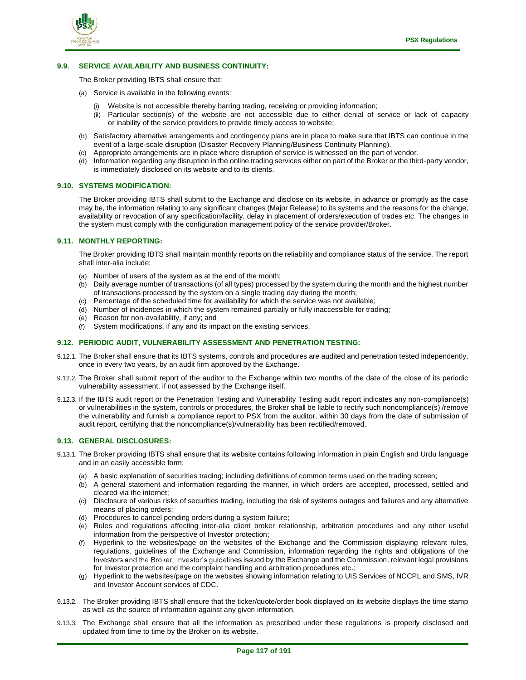

## **9.9. SERVICE AVAILABILITY AND BUSINESS CONTINUITY:**

The Broker providing IBTS shall ensure that:

- (a) Service is available in the following events:
	- (i) Website is not accessible thereby barring trading, receiving or providing information;
	- (ii) Particular section(s) of the website are not accessible due to either denial of service or lack of capacity or inability of the service providers to provide timely access to website;
- (b) Satisfactory alternative arrangements and contingency plans are in place to make sure that IBTS can continue in the event of a large-scale disruption (Disaster Recovery Planning/Business Continuity Planning).
- (c) Appropriate arrangements are in place where disruption of service is witnessed on the part of vendor.
- (d) Information regarding any disruption in the online trading services either on part of the Broker or the third-party vendor, is immediately disclosed on its website and to its clients.

## **9.10. SYSTEMS MODIFICATION:**

The Broker providing IBTS shall submit to the Exchange and disclose on its website, in advance or promptly as the case may be, the information relating to any significant changes (Major Release) to its systems and the reasons for the change, availability or revocation of any specification/facility, delay in placement of orders/execution of trades etc. The changes in the system must comply with the configuration management policy of the service provider/Broker.

## **9.11. MONTHLY REPORTING:**

The Broker providing IBTS shall maintain monthly reports on the reliability and compliance status of the service. The report shall inter-alia include:

- (a) Number of users of the system as at the end of the month;
- (b) Daily average number of transactions (of all types) processed by the system during the month and the highest number of transactions processed by the system on a single trading day during the month;
- (c) Percentage of the scheduled time for availability for which the service was not available;
- (d) Number of incidences in which the system remained partially or fully inaccessible for trading;
- (e) Reason for non-availability, if any; and
- (f) System modifications, if any and its impact on the existing services.

## **9.12. PERIODIC AUDIT, VULNERABILITY ASSESSMENT AND PENETRATION TESTING:**

- 9.12.1. The Broker shall ensure that its IBTS systems, controls and procedures are audited and penetration tested independently, once in every two years, by an audit firm approved by the Exchange.
- 9.12.2. The Broker shall submit report of the auditor to the Exchange within two months of the date of the close of its periodic vulnerability assessment, if not assessed by the Exchange itself.
- 9.12.3. If the IBTS audit report or the Penetration Testing and Vulnerability Testing audit report indicates any non-compliance(s) or vulnerabilities in the system, controls or procedures, the Broker shall be liable to rectify such noncompliance(s) /remove the vulnerability and furnish a compliance report to PSX from the auditor, within 30 days from the date of submission of audit report, certifying that the noncompliance(s)/vulnerability has been rectified/removed.

#### **9.13. GENERAL DISCLOSURES:**

- 9.13.1. The Broker providing IBTS shall ensure that its website contains following information in plain English and Urdu language and in an easily accessible form:
	- (a) A basic explanation of securities trading; including definitions of common terms used on the trading screen;
	- (b) A general statement and information regarding the manner, in which orders are accepted, processed, settled and cleared via the internet;
	- (c) Disclosure of various risks of securities trading, including the risk of systems outages and failures and any alternative means of placing orders;
	- (d) Procedures to cancel pending orders during a system failure;
	- (e) Rules and regulations affecting inter-alia client broker relationship, arbitration procedures and any other useful information from the perspective of Investor protection;
	- (f) Hyperlink to the websites/page on the websites of the Exchange and the Commission displaying relevant rules, regulations, guidelines of the Exchange and Commission, information regarding the rights and obligations of the Investors and the Broker; Investor's guidelines issued by the Exchange and the Commission, relevant legal provisions for Investor protection and the complaint handling and arbitration procedures etc.;
	- (g) Hyperlink to the websites/page on the websites showing information relating to UIS Services of NCCPL and SMS, IVR and Investor Account services of CDC.
- 9.13.2. The Broker providing IBTS shall ensure that the ticker/quote/order book displayed on its website displays the time stamp as well as the source of information against any given information.
- 9.13.3. The Exchange shall ensure that all the information as prescribed under these regulations is properly disclosed and updated from time to time by the Broker on its website.